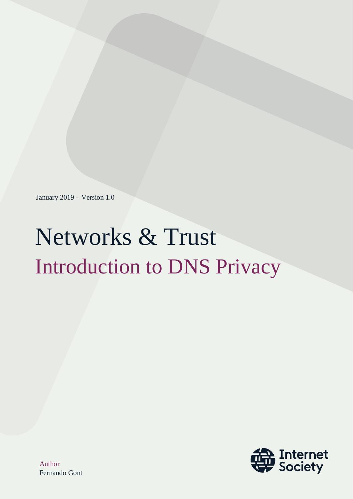January 2019 – Version 1.0

# Networks & Trust Introduction to DNS Privacy

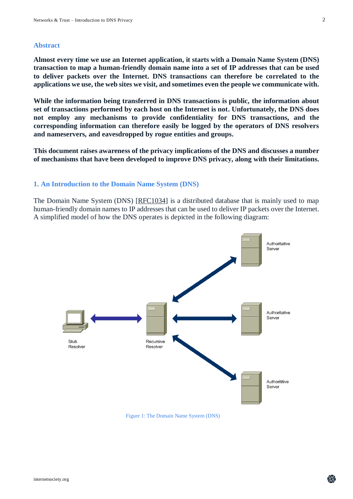#### **Abstract**

**Almost every time we use an Internet application, it starts with a Domain Name System (DNS) transaction to map a human-friendly domain name into a set of IP addresses that can be used to deliver packets over the Internet. DNS transactions can therefore be correlated to the applications we use, the web sites we visit, and sometimes even the people we communicate with.**

**While the information being transferred in DNS transactions is public, the information about set of transactions performed by each host on the Internet is not. Unfortunately, the DNS does not employ any mechanisms to provide confidentiality for DNS transactions, and the corresponding information can therefore easily be logged by the operators of DNS resolvers and nameservers, and eavesdropped by rogue entities and groups.**

**This document raises awareness of the privacy implications of the DNS and discusses a number of mechanisms that have been developed to improve DNS privacy, along with their limitations.**

#### **1. An Introduction to the Domain Name System (DNS)**

The Domain Name System (DNS) [\[RFC1034\]](https://www.rfc-editor.org/info/rfc1034) is a distributed database that is mainly used to map human-friendly domain names to IP addresses that can be used to deliver IP packets over the Internet. A simplified model of how the DNS operates is depicted in the following diagram:



Figure 1: The Domain Name System (DNS)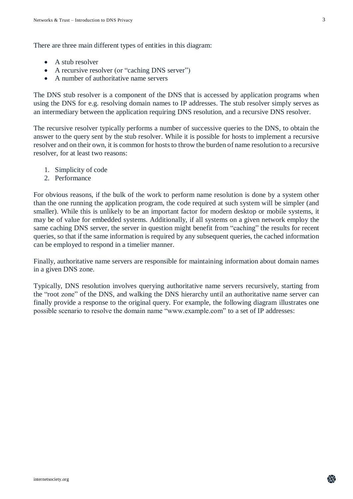There are three main different types of entities in this diagram:

- A stub resolver
- A recursive resolver (or "caching DNS server")
- A number of authoritative name servers

The DNS stub resolver is a component of the DNS that is accessed by application programs when using the DNS for e.g. resolving domain names to IP addresses. The stub resolver simply serves as an intermediary between the application requiring DNS resolution, and a recursive DNS resolver.

The recursive resolver typically performs a number of successive queries to the DNS, to obtain the answer to the query sent by the stub resolver. While it is possible for hosts to implement a recursive resolver and on their own, it is common for hosts to throw the burden of name resolution to a recursive resolver, for at least two reasons:

- 1. Simplicity of code
- 2. Performance

For obvious reasons, if the bulk of the work to perform name resolution is done by a system other than the one running the application program, the code required at such system will be simpler (and smaller). While this is unlikely to be an important factor for modern desktop or mobile systems, it may be of value for embedded systems. Additionally, if all systems on a given network employ the same caching DNS server, the server in question might benefit from "caching" the results for recent queries, so that if the same information is required by any subsequent queries, the cached information can be employed to respond in a timelier manner.

Finally, authoritative name servers are responsible for maintaining information about domain names in a given DNS zone.

Typically, DNS resolution involves querying authoritative name servers recursively, starting from the "root zone" of the DNS, and walking the DNS hierarchy until an authoritative name server can finally provide a response to the original query. For example, the following diagram illustrates one possible scenario to resolve the domain name "www.example.com" to a set of IP addresses: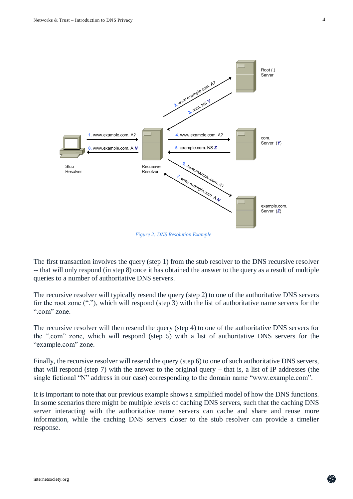<span id="page-3-0"></span>

*Figure 2: DNS Resolution Example*

The first transaction involves the query (step 1) from the stub resolver to the DNS recursive resolver -- that will only respond (in step 8) once it has obtained the answer to the query as a result of multiple queries to a number of authoritative DNS servers.

The recursive resolver will typically resend the query (step 2) to one of the authoritative DNS servers for the root zone ("."), which will respond (step 3) with the list of authoritative name servers for the ".com" zone.

The recursive resolver will then resend the query (step 4) to one of the authoritative DNS servers for the ".com" zone, which will respond (step 5) with a list of authoritative DNS servers for the "example.com" zone.

Finally, the recursive resolver will resend the query (step 6) to one of such authoritative DNS servers, that will respond (step 7) with the answer to the original query – that is, a list of IP addresses (the single fictional "N" address in our case) corresponding to the domain name "www.example.com".

It is important to note that our previous example shows a simplified model of how the DNS functions. In some scenarios there might be multiple levels of caching DNS servers, such that the caching DNS server interacting with the authoritative name servers can cache and share and reuse more information, while the caching DNS servers closer to the stub resolver can provide a timelier response.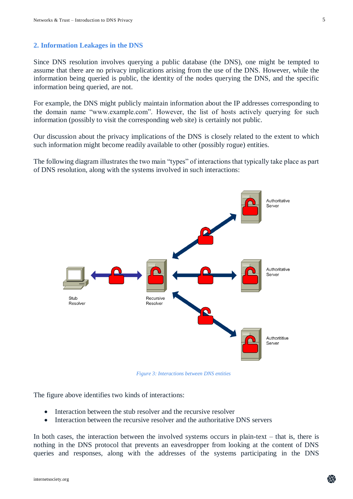#### **2. Information Leakages in the DNS**

Since DNS resolution involves querying a public database (the DNS), one might be tempted to assume that there are no privacy implications arising from the use of the DNS. However, while the information being queried is public, the identity of the nodes querying the DNS, and the specific information being queried, are not.

For example, the DNS might publicly maintain information about the IP addresses corresponding to the domain name "www.example.com". However, the list of hosts actively querying for such information (possibly to visit the corresponding web site) is certainly not public.

Our discussion about the privacy implications of the DNS is closely related to the extent to which such information might become readily available to other (possibly rogue) entities.

The following diagram illustrates the two main "types" of interactions that typically take place as part of DNS resolution, along with the systems involved in such interactions:



*Figure 3: Interactions between DNS entities*

The figure above identifies two kinds of interactions:

- Interaction between the stub resolver and the recursive resolver
- Interaction between the recursive resolver and the authoritative DNS servers

In both cases, the interaction between the involved systems occurs in plain-text – that is, there is nothing in the DNS protocol that prevents an eavesdropper from looking at the content of DNS queries and responses, along with the addresses of the systems participating in the DNS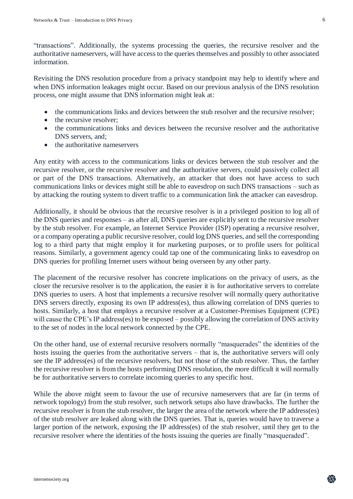"transactions". Additionally, the systems processing the queries, the recursive resolver and the authoritative nameservers, will have access to the queries themselves and possibly to other associated information.

Revisiting the DNS resolution procedure from a privacy standpoint may help to identify where and when DNS information leakages might occur. Based on our previous analysis of the DNS resolution process, one might assume that DNS information might leak at:

- the communications links and devices between the stub resolver and the recursive resolver;
- the recursive resolver:
- the communications links and devices between the recursive resolver and the authoritative DNS servers, and;
- the authoritative nameservers

Any entity with access to the communications links or devices between the stub resolver and the recursive resolver, or the recursive resolver and the authoritative servers, could passively collect all or part of the DNS transactions. Alternatively, an attacker that does not have access to such communications links or devices might still be able to eavesdrop on such DNS transactions – such as by attacking the routing system to divert traffic to a communication link the attacker can eavesdrop.

Additionally, it should be obvious that the recursive resolver is in a privileged position to log all of the DNS queries and responses – as after all, DNS queries are explicitly sent to the recursive resolver by the stub resolver. For example, an Internet Service Provider (ISP) operating a recursive resolver, or a company operating a public recursive resolver, could log DNS queries, and sell the corresponding log to a third party that might employ it for marketing purposes, or to profile users for political reasons. Similarly, a government agency could tap one of the communicating links to eavesdrop on DNS queries for profiling Internet users without being overseen by any other party.

The placement of the recursive resolver has concrete implications on the privacy of users, as the closer the recursive resolver is to the application, the easier it is for authoritative servers to correlate DNS queries to users. A host that implements a recursive resolver will normally query authoritative DNS servers directly, exposing its own IP address(es), thus allowing correlation of DNS queries to hosts. Similarly, a host that employs a recursive resolver at a Customer-Premises Equipment (CPE) will cause the CPE's IP address(es) to be exposed – possibly allowing the correlation of DNS activity to the set of nodes in the local network connected by the CPE.

On the other hand, use of external recursive resolvers normally "masquerades" the identities of the hosts issuing the queries from the authoritative servers – that is, the authoritative servers will only see the IP address(es) of the recursive resolvers, but not those of the stub resolver. Thus, the farther the recursive resolver is from the hosts performing DNS resolution, the more difficult it will normally be for authoritative servers to correlate incoming queries to any specific host.

While the above might seem to favour the use of recursive nameservers that are far (in terms of network topology) from the stub resolver, such network setups also have drawbacks. The further the recursive resolver is from the stub resolver, the larger the area of the network where the IP address(es) of the stub resolver are leaked along with the DNS queries. That is, queries would have to traverse a larger portion of the network, exposing the IP address(es) of the stub resolver, until they get to the recursive resolver where the identities of the hosts issuing the queries are finally "masqueraded".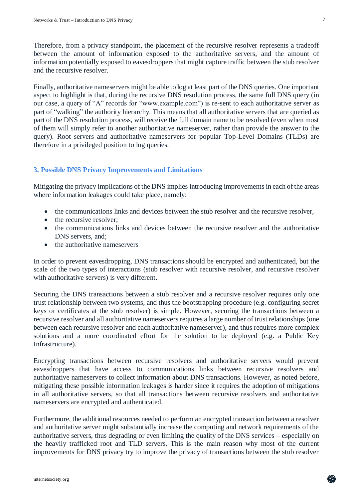Therefore, from a privacy standpoint, the placement of the recursive resolver represents a tradeoff between the amount of information exposed to the authoritative servers, and the amount of information potentially exposed to eavesdroppers that might capture traffic between the stub resolver and the recursive resolver.

Finally, authoritative nameservers might be able to log at least part of the DNS queries. One important aspect to highlight is that, during the recursive DNS resolution process, the same full DNS query (in our case, a query of "A" records for "www.example.com") is re-sent to each authoritative server as part of "walking" the authority hierarchy. This means that all authoritative servers that are queried as part of the DNS resolution process, will receive the full domain name to be resolved (even when most of them will simply refer to another authoritative nameserver, rather than provide the answer to the query). Root servers and authoritative nameservers for popular Top-Level Domains (TLDs) are therefore in a privileged position to log queries.

# **3. Possible DNS Privacy Improvements and Limitations**

Mitigating the privacy implications of the DNS implies introducing improvements in each of the areas where information leakages could take place, namely:

- the communications links and devices between the stub resolver and the recursive resolver,
- the recursive resolver:
- the communications links and devices between the recursive resolver and the authoritative DNS servers, and;
- the authoritative nameservers

In order to prevent eavesdropping, DNS transactions should be encrypted and authenticated, but the scale of the two types of interactions (stub resolver with recursive resolver, and recursive resolver with authoritative servers) is very different.

Securing the DNS transactions between a stub resolver and a recursive resolver requires only one trust relationship between two systems, and thus the bootstrapping procedure (e.g. configuring secret keys or certificates at the stub resolver) is simple. However, securing the transactions between a recursive resolver and all authoritative nameservers requires a large number of trust relationships (one between each recursive resolver and each authoritative nameserver), and thus requires more complex solutions and a more coordinated effort for the solution to be deployed (e.g. a Public Key Infrastructure).

Encrypting transactions between recursive resolvers and authoritative servers would prevent eavesdroppers that have access to communications links between recursive resolvers and authoritative nameservers to collect information about DNS transactions. However, as noted before, mitigating these possible information leakages is harder since it requires the adoption of mitigations in all authoritative servers, so that all transactions between recursive resolvers and authoritative nameservers are encrypted and authenticated.

Furthermore, the additional resources needed to perform an encrypted transaction between a resolver and authoritative server might substantially increase the computing and network requirements of the authoritative servers, thus degrading or even limiting the quality of the DNS services – especially on the heavily trafficked root and TLD servers. This is the main reason why most of the current improvements for DNS privacy try to improve the privacy of transactions between the stub resolver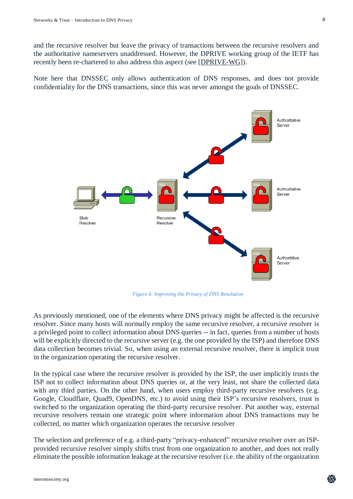and the recursive resolver but leave the privacy of transactions between the recursive resolvers and the authoritative nameservers unaddressed. However, the DPRIVE working group of the IETF has recently been re-chartered to also address this aspect (see [\[DPRIVE-WG\]](https://datatracker.ietf.org/wg/dprive/about/)).

Note here that DNSSEC only allows authentication of DNS responses, and does not provide confidentiality for the DNS transactions, since this was never amongst the goals of DNSSEC.



*Figure 4: Improving the Privacy of DNS Resolution*

As previously mentioned, one of the elements where DNS privacy might be affected is the recursive resolver. Since many hosts will normally employ the same recursive resolver, a recursive resolver is a privileged point to collect information about DNS queries -- in fact, queries from a number of hosts will be explicitly directed to the recursive server (e.g. the one provided by the ISP) and therefore DNS data collection becomes trivial. So, when using an external recursive resolver, there is implicit trust in the organization operating the recursive resolver.

In the typical case where the recursive resolver is provided by the ISP, the user implicitly trusts the ISP not to collect information about DNS queries or, at the very least, not share the collected data with any third parties. On the other hand, when users employ third-party recursive resolvers (e.g. Google, Cloudflare, Quad9, OpenDNS, etc.) to avoid using their ISP's recursive resolvers, trust is switched to the organization operating the third-party recursive resolver. Put another way, external recursive resolvers remain one strategic point where information about DNS transactions may be collected, no matter which organization operates the recursive resolver

The selection and preference of e.g. a third-party "privacy-enhanced" recursive resolver over an ISPprovided recursive resolver simply shifts trust from one organization to another, and does not really eliminate the possible information leakage at the recursive resolver (i.e. the ability of the organization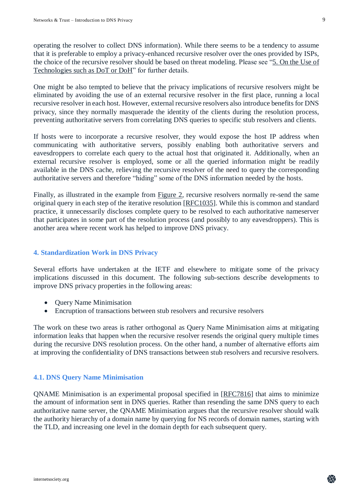operating the resolver to collect DNS information). While there seems to be a tendency to assume that it is preferable to employ a privacy-enhanced recursive resolver over the ones provided by ISPs, the choice of the recursive resolver should be based on threat modeling. Please see ["5. On the Use of](#page-11-0)  [Technologies such as DoT or DoH"](#page-11-0) for further details.

One might be also tempted to believe that the privacy implications of recursive resolvers might be eliminated by avoiding the use of an external recursive resolver in the first place, running a local recursive resolver in each host. However, external recursive resolvers also introduce benefits for DNS privacy, since they normally masquerade the identity of the clients during the resolution process, preventing authoritative servers from correlating DNS queries to specific stub resolvers and clients.

If hosts were to incorporate a recursive resolver, they would expose the host IP address when communicating with authoritative servers, possibly enabling both authoritative servers and eavesdroppers to correlate each query to the actual host that originated it. Additionally, when an external recursive resolver is employed, some or all the queried information might be readily available in the DNS cache, relieving the recursive resolver of the need to query the corresponding authoritative servers and therefore "hiding" some of the DNS information needed by the hosts.

Finally, as illustrated in the example from [Figure 2,](#page-3-0) recursive resolvers normally re-send the same original query in each step of the iterative resolution [\[RFC1035\]](https://www.rfc-editor.org/info/rfc1035). While this is common and standard practice, it unnecessarily discloses complete query to be resolved to each authoritative nameserver that participates in some part of the resolution process (and possibly to any eavesdroppers). This is another area where recent work has helped to improve DNS privacy.

# **4. Standardization Work in DNS Privacy**

Several efforts have undertaken at the IETF and elsewhere to mitigate some of the privacy implications discussed in this document. The following sub-sections describe developments to improve DNS privacy properties in the following areas:

- Query Name Minimisation
- Encruption of transactions between stub resolvers and recursive resolvers

The work on these two areas is rather orthogonal as Query Name Minimisation aims at mitigating information leaks that happen when the recursive resolver resends the original query multiple times during the recursive DNS resolution process. On the other hand, a number of alternative efforts aim at improving the confidentiality of DNS transactions between stub resolvers and recursive resolvers.

## **4.1. DNS Query Name Minimisation**

QNAME Minimisation is an experimental proposal specified in [\[RFC7816\]](https://www.rfc-editor.org/info/rfc7816) that aims to minimize the amount of information sent in DNS queries. Rather than resending the same DNS query to each authoritative name server, the QNAME Minimisation argues that the recursive resolver should walk the authority hierarchy of a domain name by querying for NS records of domain names, starting with the TLD, and increasing one level in the domain depth for each subsequent query.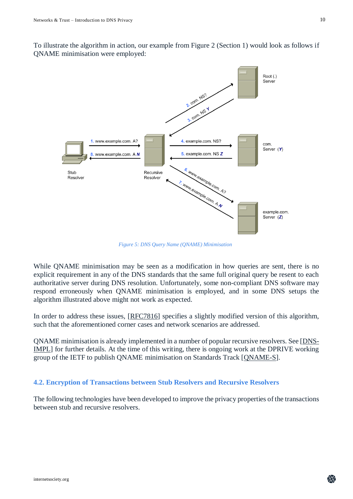To illustrate the algorithm in action, our example from Figure 2 (Section 1) would look as follows if QNAME minimisation were employed:



*Figure 5: DNS Query Name (QNAME) Minimisation*

While QNAME minimisation may be seen as a modification in how queries are sent, there is no explicit requirement in any of the DNS standards that the same full original query be resent to each authoritative server during DNS resolution. Unfortunately, some non-compliant DNS software may respond erroneously when QNAME minimisation is employed, and in some DNS setups the algorithm illustrated above might not work as expected.

In order to address these issues, [\[RFC7816\]](https://www.rfc-editor.org/info/rfc7816) specifies a slightly modified version of this algorithm, such that the aforementioned corner cases and network scenarios are addressed.

QNAME minimisation is already implemented in a number of popular recursive resolvers. See [\[DNS-](https://dnsprivacy.org/wiki/display/DP/DNS+Privacy+Implementation+Status)[IMPL\]](https://dnsprivacy.org/wiki/display/DP/DNS+Privacy+Implementation+Status) for further details. At the time of this writing, there is ongoing work at the DPRIVE working group of the IETF to publish QNAME minimisation on Standards Track [\[QNAME-S\]](https://tools.ietf.org/html/draft-ietf-dnsop-rfc7816bis).

#### **4.2. Encryption of Transactions between Stub Resolvers and Recursive Resolvers**

The following technologies have been developed to improve the privacy properties of the transactions between stub and recursive resolvers.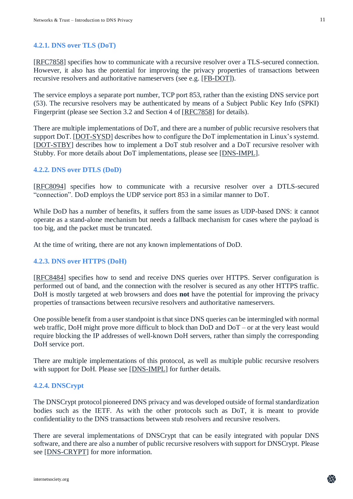#### **4.2.1. DNS over TLS (DoT)**

[\[RFC7858\]](https://www.rfc-editor.org/info/rfc7858) specifies how to communicate with a recursive resolver over a TLS-secured connection. However, it also has the potential for improving the privacy properties of transactions between recursive resolvers and authoritative nameservers (see e.g. [\[FB-DOT\]](https://code.fb.com/security/dns-over-tls/)).

The service employs a separate port number, TCP port 853, rather than the existing DNS service port (53). The recursive resolvers may be authenticated by means of a Subject Public Key Info (SPKI) Fingerprint (please see Section 3.2 and Section 4 of [\[RFC7858\]](https://www.rfc-editor.org/info/rfc7858) for details).

There are multiple implementations of DoT, and there are a number of public recursive resolvers that support DoT. [\[DOT-SYSD\]](https://www.internetsociety.org/blog/2018/12/dns-privacy-in-linux-systemd/) describes how to configure the DoT implementation in Linux's systemd. [\[DOT-STBY\]](https://www.internetsociety.org/blog/2017/09/dns-tls-experience-go6lab/) describes how to implement a DoT stub resolver and a DoT recursive resolver with Stubby. For more details about DoT implementations, please see [\[DNS-IMPL\]](https://dnsprivacy.org/wiki/display/DP/DNS+Privacy+Implementation+Status).

#### **4.2.2. DNS over DTLS (DoD)**

[\[RFC8094\]](https://www.rfc-editor.org/info/rfc8094) specifies how to communicate with a recursive resolver over a DTLS-secured "connection". DoD employs the UDP service port 853 in a similar manner to DoT.

While DoD has a number of benefits, it suffers from the same issues as UDP-based DNS: it cannot operate as a stand-alone mechanism but needs a fallback mechanism for cases where the payload is too big, and the packet must be truncated.

At the time of writing, there are not any known implementations of DoD.

#### **4.2.3. DNS over HTTPS (DoH)**

[\[RFC8484\]](https://www.rfc-editor.org/info/rfc8484) specifies how to send and receive DNS queries over HTTPS. Server configuration is performed out of band, and the connection with the resolver is secured as any other HTTPS traffic. DoH is mostly targeted at web browsers and does **not** have the potential for improving the privacy properties of transactions between recursive resolvers and authoritative nameservers.

One possible benefit from a user standpoint is that since DNS queries can be intermingled with normal web traffic, DoH might prove more difficult to block than DoD and DoT – or at the very least would require blocking the IP addresses of well-known DoH servers, rather than simply the corresponding DoH service port.

There are multiple implementations of this protocol, as well as multiple public recursive resolvers with support for DoH. Please see [\[DNS-IMPL\]](https://dnsprivacy.org/wiki/display/DP/DNS+Privacy+Implementation+Status) for further details.

#### **4.2.4. DNSCrypt**

The DNSCrypt protocol pioneered DNS privacy and was developed outside of formal standardization bodies such as the IETF. As with the other protocols such as DoT, it is meant to provide confidentiality to the DNS transactions between stub resolvers and recursive resolvers.

There are several implementations of DNSCrypt that can be easily integrated with popular DNS software, and there are also a number of public recursive resolvers with support for DNSCrypt. Please see [\[DNS-CRYPT\]](https://dnscrypt.info/) for more information.

11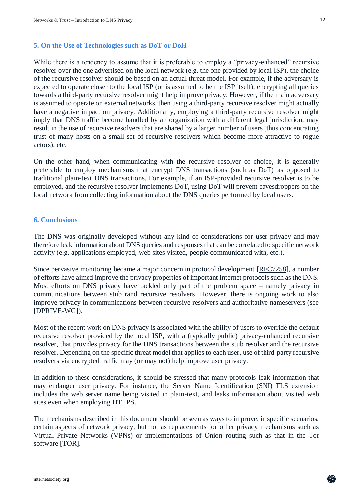#### <span id="page-11-0"></span>**5. On the Use of Technologies such as DoT or DoH**

While there is a tendency to assume that it is preferable to employ a "privacy-enhanced" recursive resolver over the one advertised on the local network (e.g. the one provided by local ISP), the choice of the recursive resolver should be based on an actual threat model. For example, if the adversary is expected to operate closer to the local ISP (or is assumed to be the ISP itself), encrypting all queries towards a third-party recursive resolver might help improve privacy. However, if the main adversary is assumed to operate on external networks, then using a third-party recursive resolver might actually have a negative impact on privacy. Additionally, employing a third-party recursive resolver might imply that DNS traffic become handled by an organization with a different legal jurisdiction, may result in the use of recursive resolvers that are shared by a larger number of users (thus concentrating trust of many hosts on a small set of recursive resolvers which become more attractive to rogue actors), etc.

On the other hand, when communicating with the recursive resolver of choice, it is generally preferable to employ mechanisms that encrypt DNS transactions (such as DoT) as opposed to traditional plain-text DNS transactions. For example, if an ISP-provided recursive resolver is to be employed, and the recursive resolver implements DoT, using DoT will prevent eavesdroppers on the local network from collecting information about the DNS queries performed by local users.

#### **6. Conclusions**

The DNS was originally developed without any kind of considerations for user privacy and may therefore leak information about DNS queries and responses that can be correlated to specific network activity (e.g. applications employed, web sites visited, people communicated with, etc.).

Since pervasive monitoring became a major concern in protocol development [\[RFC7258\]](https://www.rfc-editor.org/info/rfc7258), a number of efforts have aimed improve the privacy properties of important Internet protocols such as the DNS. Most efforts on DNS privacy have tackled only part of the problem space – namely privacy in communications between stub rand recursive resolvers. However, there is ongoing work to also improve privacy in communications between recursive resolvers and authoritative nameservers (see [\[DPRIVE-WG\]](https://datatracker.ietf.org/wg/dprive/about/)).

Most of the recent work on DNS privacy is associated with the ability of users to override the default recursive resolver provided by the local ISP, with a (typically public) privacy-enhanced recursive resolver, that provides privacy for the DNS transactions between the stub resolver and the recursive resolver. Depending on the specific threat model that applies to each user, use of third-party recursive resolvers via encrypted traffic may (or may not) help improve user privacy.

In addition to these considerations, it should be stressed that many protocols leak information that may endanger user privacy. For instance, the Server Name Identification (SNI) TLS extension includes the web server name being visited in plain-text, and leaks information about visited web sites even when employing HTTPS.

The mechanisms described in this document should be seen as ways to improve, in specific scenarios, certain aspects of network privacy, but not as replacements for other privacy mechanisms such as Virtual Private Networks (VPNs) or implementations of Onion routing such as that in the Tor software [\[TOR\]](https://www.torproject.org/).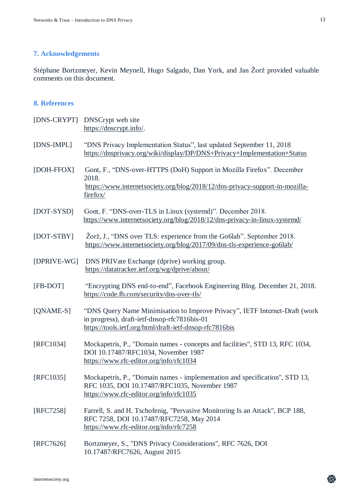# **7. Acknowledgements**

Stéphane Bortzmeyer, Kevin Meynell, Hugo Salgado, Dan York, and Jan Žorž provided valuable comments on this document.

## **8. References**

|             | [DNS-CRYPT] DNSCrypt web site<br>https://dnscrypt.info/.                                                                                                                               |
|-------------|----------------------------------------------------------------------------------------------------------------------------------------------------------------------------------------|
| [DNS-IMPL]  | "DNS Privacy Implementation Status", last updated September 11, 2018<br>https://dnsprivacy.org/wiki/display/DP/DNS+Privacy+Implementation+Status                                       |
| [DOH-FFOX]  | Gont, F., "DNS-over-HTTPS (DoH) Support in Mozilla Firefox". December<br>2018.<br>https://www.internetsociety.org/blog/2018/12/dns-privacy-support-in-mozilla-<br>firefox/             |
| [DOT-SYSD]  | Gont, F. "DNS-over-TLS in Linux (systemd)". December 2018.<br>https://www.internetsociety.org/blog/2018/12/dns-privacy-in-linux-systemd/                                               |
| [DOT-STBY]  | Žorž, J., "DNS over TLS: experience from the Go6lab". September 2018.<br>https://www.internetsociety.org/blog/2017/09/dns-tls-experience-go6lab/                                       |
| [DPRIVE-WG] | DNS PRIVate Exchange (dprive) working group.<br>https://datatracker.ietf.org/wg/dprive/about/                                                                                          |
| [FB-DOT]    | "Encrypting DNS end-to-end", Facebook Engineering Blog. December 21, 2018.<br>https://code.fb.com/security/dns-over-tls/                                                               |
| [QNAME-S]   | "DNS Query Name Minimisation to Improve Privacy", IETF Internet-Draft (work<br>in progress), draft-ietf-dnsop-rfc7816bis-01<br>https://tools.ietf.org/html/draft-ietf-dnsop-rfc7816bis |
| [RFC1034]   | Mockapetris, P., "Domain names - concepts and facilities", STD 13, RFC 1034,<br>DOI 10.17487/RFC1034, November 1987<br>https://www.rfc-editor.org/info/rfc1034                         |
| [RFC1035]   | Mockapetris, P., "Domain names - implementation and specification", STD 13,<br>RFC 1035, DOI 10.17487/RFC1035, November 1987<br>https://www.rfc-editor.org/info/rfc1035                |
| [RFC7258]   | Farrell, S. and H. Tschofenig, "Pervasive Monitoring Is an Attack", BCP 188,<br>RFC 7258, DOI 10.17487/RFC7258, May 2014<br>https://www.rfc-editor.org/info/rfc7258                    |
| [RFC7626]   | Bortzmeyer, S., "DNS Privacy Considerations", RFC 7626, DOI<br>10.17487/RFC7626, August 2015                                                                                           |